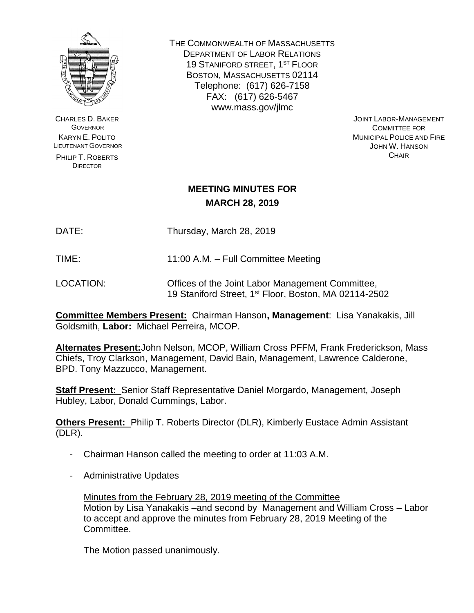

CHARLES D. BAKER **GOVERNOR** KARYN E. POLITO LIEUTENANT GOVERNOR

PHILIP T. ROBERTS **DIRECTOR** 

THE COMMONWEALTH OF MASSACHUSETTS DEPARTMENT OF LABOR RELATIONS 19 STANIFORD STREET, 1<sup>ST</sup> FLOOR BOSTON, MASSACHUSETTS 02114 Telephone: (617) 626-7158 FAX: (617) 626-5467 www.mass.gov/jlmc

JOINT LABOR-MANAGEMENT COMMITTEE FOR MUNICIPAL POLICE AND FIRE JOHN W. HANSON **CHAIR** 

## **MEETING MINUTES FOR MARCH 28, 2019**

DATE: Thursday, March 28, 2019

TIME: 11:00 A.M. – Full Committee Meeting

LOCATION: Offices of the Joint Labor Management Committee, 19 Staniford Street, 1st Floor, Boston, MA 02114-2502

**Committee Members Present:** Chairman Hanson**, Management**: Lisa Yanakakis, Jill Goldsmith, **Labor:** Michael Perreira, MCOP.

**Alternates Present:**John Nelson, MCOP, William Cross PFFM, Frank Frederickson, Mass Chiefs, Troy Clarkson, Management, David Bain, Management, Lawrence Calderone, BPD. Tony Mazzucco, Management.

**Staff Present:** Senior Staff Representative Daniel Morgardo, Management, Joseph Hubley, Labor, Donald Cummings, Labor.

**Others Present:** Philip T. Roberts Director (DLR), Kimberly Eustace Admin Assistant (DLR).

- Chairman Hanson called the meeting to order at 11:03 A.M.
- Administrative Updates

Minutes from the February 28, 2019 meeting of the Committee Motion by Lisa Yanakakis –and second by Management and William Cross – Labor to accept and approve the minutes from February 28, 2019 Meeting of the Committee.

The Motion passed unanimously.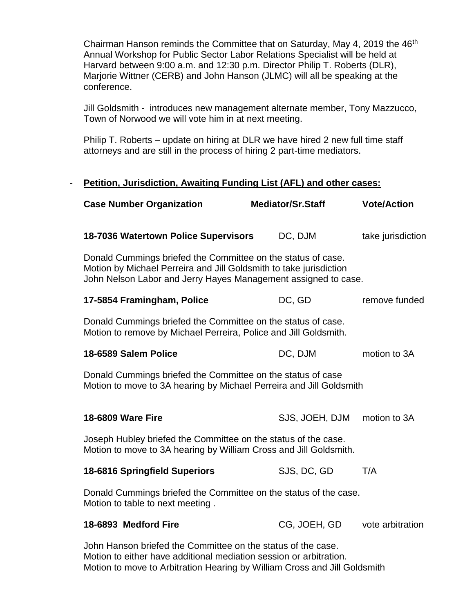Chairman Hanson reminds the Committee that on Saturday, May 4, 2019 the 46<sup>th</sup> Annual Workshop for Public Sector Labor Relations Specialist will be held at Harvard between 9:00 a.m. and 12:30 p.m. Director Philip T. Roberts (DLR), Marjorie Wittner (CERB) and John Hanson (JLMC) will all be speaking at the conference.

Jill Goldsmith - introduces new management alternate member, Tony Mazzucco, Town of Norwood we will vote him in at next meeting.

Philip T. Roberts – update on hiring at DLR we have hired 2 new full time staff attorneys and are still in the process of hiring 2 part-time mediators.

## - **Petition, Jurisdiction, Awaiting Funding List (AFL) and other cases:**

| <b>Case Number Organization</b>                                                                                                                                                                      | <b>Mediator/Sr.Staff</b> | <b>Vote/Action</b> |  |
|------------------------------------------------------------------------------------------------------------------------------------------------------------------------------------------------------|--------------------------|--------------------|--|
| 18-7036 Watertown Police Supervisors                                                                                                                                                                 | DC, DJM                  | take jurisdiction  |  |
| Donald Cummings briefed the Committee on the status of case.<br>Motion by Michael Perreira and Jill Goldsmith to take jurisdiction<br>John Nelson Labor and Jerry Hayes Management assigned to case. |                          |                    |  |
| 17-5854 Framingham, Police                                                                                                                                                                           | DC, GD                   | remove funded      |  |
| Donald Cummings briefed the Committee on the status of case.<br>Motion to remove by Michael Perreira, Police and Jill Goldsmith.                                                                     |                          |                    |  |
| 18-6589 Salem Police                                                                                                                                                                                 | DC, DJM                  | motion to 3A       |  |
| Donald Cummings briefed the Committee on the status of case<br>Motion to move to 3A hearing by Michael Perreira and Jill Goldsmith                                                                   |                          |                    |  |
| <b>18-6809 Ware Fire</b>                                                                                                                                                                             | SJS, JOEH, DJM           | motion to 3A       |  |
| Joseph Hubley briefed the Committee on the status of the case.<br>Motion to move to 3A hearing by William Cross and Jill Goldsmith.                                                                  |                          |                    |  |
| <b>18-6816 Springfield Superiors</b>                                                                                                                                                                 | SJS, DC, GD              | T/A                |  |
| Donald Cummings briefed the Committee on the status of the case.<br>Motion to table to next meeting.                                                                                                 |                          |                    |  |
| 18-6893 Medford Fire                                                                                                                                                                                 | CG, JOEH, GD             | vote arbitration   |  |
| John Hanson briefed the Committee on the status of the case.                                                                                                                                         |                          |                    |  |

Motion to either have additional mediation session or arbitration.

Motion to move to Arbitration Hearing by William Cross and Jill Goldsmith